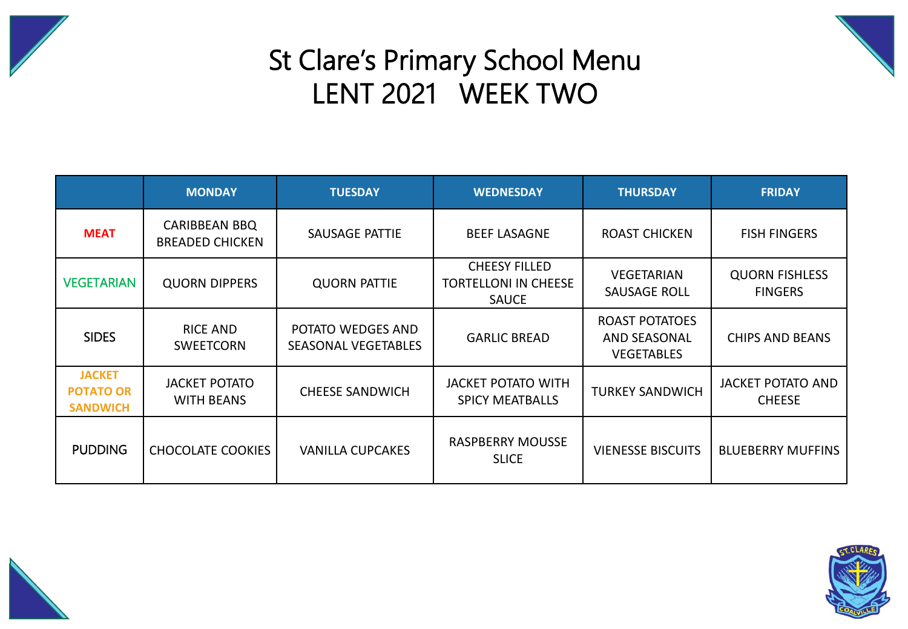



## St Clare's Primary School Menu LENT 2021 WEEK TWO

|                                                      | <b>MONDAY</b>                                  | <b>TUESDAY</b>                                  | <b>WEDNESDAY</b>                                                    | <b>THURSDAY</b>                                                   | <b>FRIDAY</b>                             |  |
|------------------------------------------------------|------------------------------------------------|-------------------------------------------------|---------------------------------------------------------------------|-------------------------------------------------------------------|-------------------------------------------|--|
| <b>MEAT</b>                                          | <b>CARIBBEAN BBQ</b><br><b>BREADED CHICKEN</b> | SAUSAGE PATTIE                                  | <b>BEEF LASAGNE</b>                                                 | <b>ROAST CHICKEN</b>                                              | <b>FISH FINGERS</b>                       |  |
| <b>VEGETARIAN</b>                                    | <b>QUORN DIPPERS</b>                           | <b>QUORN PATTIE</b>                             | <b>CHEESY FILLED</b><br><b>TORTELLONI IN CHEESE</b><br><b>SAUCE</b> | <b>VEGETARIAN</b><br><b>SAUSAGE ROLL</b>                          | <b>QUORN FISHLESS</b><br><b>FINGERS</b>   |  |
| <b>SIDES</b>                                         | <b>RICE AND</b><br><b>SWEETCORN</b>            | POTATO WEDGES AND<br><b>SEASONAL VEGETABLES</b> | <b>GARLIC BREAD</b>                                                 | <b>ROAST POTATOES</b><br><b>AND SEASONAL</b><br><b>VEGETABLES</b> | <b>CHIPS AND BEANS</b>                    |  |
| <b>JACKET</b><br><b>POTATO OR</b><br><b>SANDWICH</b> | <b>JACKET POTATO</b><br><b>WITH BEANS</b>      | <b>CHEESE SANDWICH</b>                          | <b>JACKET POTATO WITH</b><br><b>SPICY MEATBALLS</b>                 | <b>TURKEY SANDWICH</b>                                            | <b>JACKET POTATO AND</b><br><b>CHEESE</b> |  |
| <b>PUDDING</b>                                       | <b>CHOCOLATE COOKIES</b>                       | <b>VANILLA CUPCAKES</b>                         | <b>RASPBERRY MOUSSE</b><br><b>SLICE</b>                             | <b>VIENESSE BISCUITS</b>                                          | <b>BLUEBERRY MUFFINS</b>                  |  |